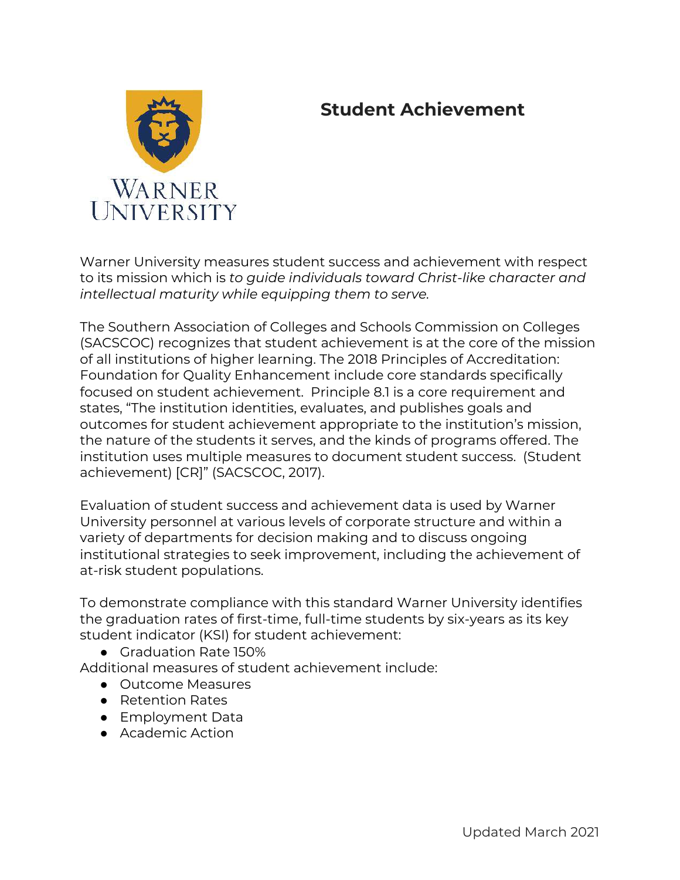# **Student Achievement**



Warner University measures student success and achievement with respect to its mission which is *to guide individuals toward Christ-like character and intellectual maturity while equipping them to serve.* 

The Southern Association of Colleges and Schools Commission on Colleges (SACSCOC) recognizes that student achievement is at the core of the mission of all institutions of higher learning. The 2018 Principles of Accreditation: Foundation for Quality Enhancement include core standards specifically focused on student achievement. Principle 8.1 is a core requirement and states, "The institution identities, evaluates, and publishes goals and outcomes for student achievement appropriate to the institution's mission, the nature of the students it serves, and the kinds of programs offered. The institution uses multiple measures to document student success. (Student achievement) [CR]" (SACSCOC, 2017).

Evaluation of student success and achievement data is used by Warner University personnel at various levels of corporate structure and within a variety of departments for decision making and to discuss ongoing institutional strategies to seek improvement, including the achievement of at-risk student populations.

To demonstrate compliance with this standard Warner University identifies the graduation rates of first-time, full-time students by six-years as its key student indicator (KSI) for student achievement:

● Graduation Rate 150%

Additional measures of student achievement include:

- Outcome Measures
- Retention Rates
- Employment Data
- Academic Action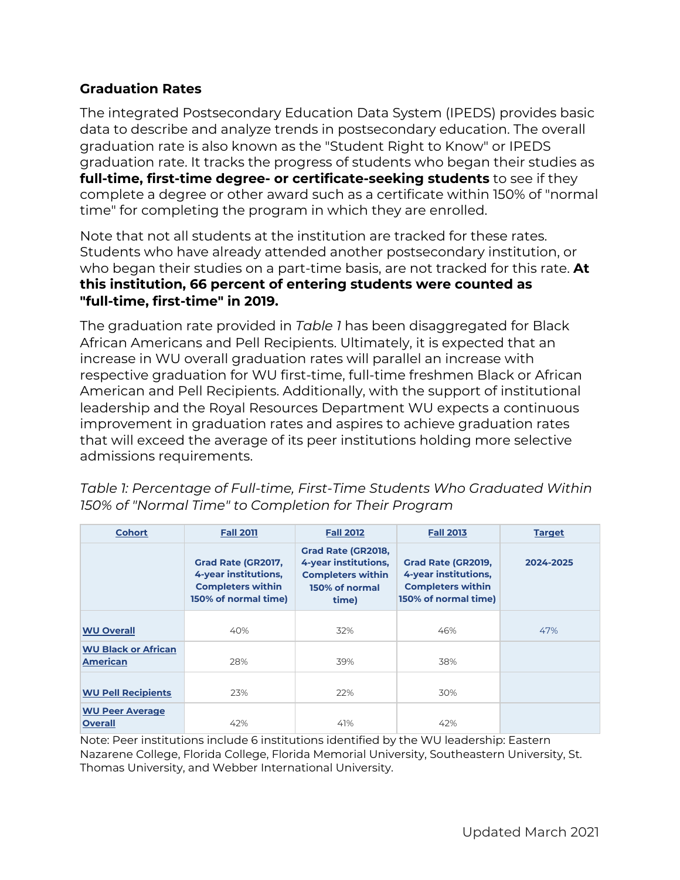## **Graduation Rates**

The integrated Postsecondary Education Data System (IPEDS) provides basic data to describe and analyze trends in postsecondary education. The overall graduation rate is also known as the "Student Right to Know" or IPEDS graduation rate. It tracks the progress of students who began their studies as **full-time, first-time degree- or certificate-seeking students** to see if they complete a degree or other award such as a certificate within 150% of "normal time" for completing the program in which they are enrolled.

Note that not all students at the institution are tracked for these rates. Students who have already attended another postsecondary institution, or who began their studies on a part-time basis, are not tracked for this rate. **At this institution, 66 percent of entering students were counted as "full-time, first-time" in 2019.** 

The graduation rate provided in *Table 1* has been disaggregated for Black African Americans and Pell Recipients. Ultimately, it is expected that an increase in WU overall graduation rates will parallel an increase with respective graduation for WU first-time, full-time freshmen Black or African American and Pell Recipients. Additionally, with the support of institutional leadership and the Royal Resources Department WU expects a continuous improvement in graduation rates and aspires to achieve graduation rates that will exceed the average of its peer institutions holding more selective admissions requirements.

| <b>Cohort</b>                                 | <b>Fall 2011</b>                                                                               | <b>Fall 2012</b>                                                                                         | <b>Fall 2013</b>                                                                               | <b>Target</b> |
|-----------------------------------------------|------------------------------------------------------------------------------------------------|----------------------------------------------------------------------------------------------------------|------------------------------------------------------------------------------------------------|---------------|
|                                               | Grad Rate (GR2017,<br>4-year institutions,<br><b>Completers within</b><br>150% of normal time) | <b>Grad Rate (GR2018,</b><br>4-year institutions,<br><b>Completers within</b><br>150% of normal<br>time) | Grad Rate (GR2019,<br>4-year institutions,<br><b>Completers within</b><br>150% of normal time) | 2024-2025     |
| <b>WU Overall</b>                             | 40%                                                                                            | 32%                                                                                                      | 46%                                                                                            | 47%           |
| <b>WU Black or African</b><br><b>American</b> | 28%                                                                                            | 39%                                                                                                      | 38%                                                                                            |               |
| <b>WU Pell Recipients</b>                     | 23%                                                                                            | 22%                                                                                                      | 30%                                                                                            |               |
| <b>WU Peer Average</b><br><b>Overall</b>      | 42%                                                                                            | 41%                                                                                                      | 42%                                                                                            |               |

*Table 1: Percentage of Full-time, First-Time Students Who Graduated Within 150% of "Normal Time" to Completion for Their Program* 

Note: Peer institutions include 6 institutions identified by the WU leadership: Eastern Nazarene College, Florida College, Florida Memorial University, Southeastern University, St. Thomas University, and Webber International University.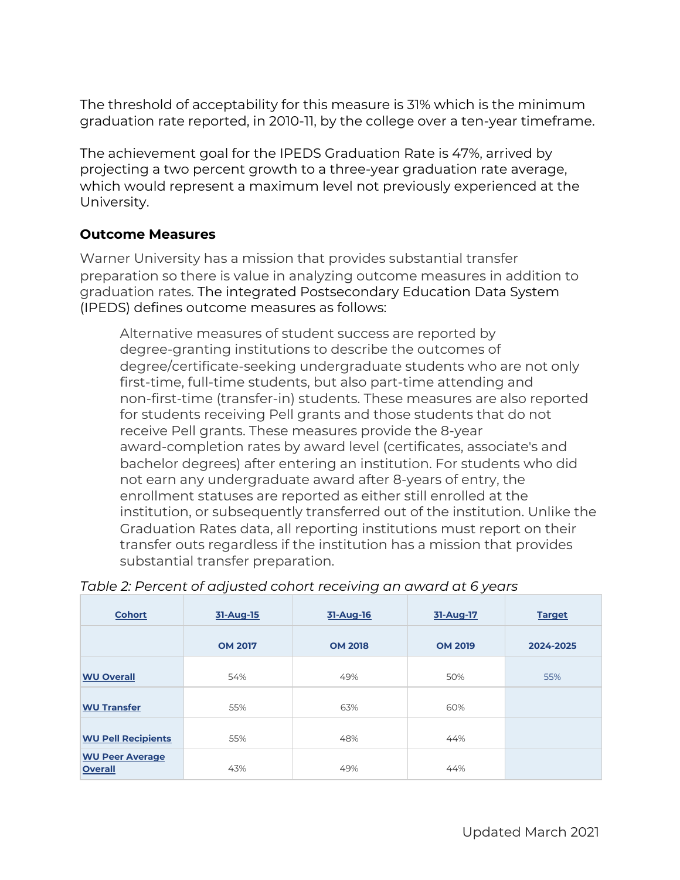The threshold of acceptability for this measure is 31% which is the minimum graduation rate reported, in 2010-11, by the college over a ten-year timeframe.

The achievement goal for the IPEDS Graduation Rate is 47%, arrived by projecting a two percent growth to a three-year graduation rate average, which would represent a maximum level not previously experienced at the University.

#### **Outcome Measures**

Warner University has a mission that provides substantial transfer preparation so there is value in analyzing outcome measures in addition to graduation rates. The integrated Postsecondary Education Data System (IPEDS) defines outcome measures as follows:

Alternative measures of student success are reported by degree-granting institutions to describe the outcomes of degree/certificate-seeking undergraduate students who are not only first-time, full-time students, but also part-time attending and non-first-time (transfer-in) students. These measures are also reported for students receiving Pell grants and those students that do not receive Pell grants. These measures provide the 8-year award-completion rates by award level (certificates, associate's and bachelor degrees) after entering an institution. For students who did not earn any undergraduate award after 8-years of entry, the enrollment statuses are reported as either still enrolled at the institution, or subsequently transferred out of the institution. Unlike the Graduation Rates data, all reporting institutions must report on their transfer outs regardless if the institution has a mission that provides substantial transfer preparation.

| <b>Cohort</b>                            | 31-Aug-15      | 31-Aug-16      | 31-Aug-17      | <b>Target</b> |
|------------------------------------------|----------------|----------------|----------------|---------------|
|                                          | <b>OM 2017</b> | <b>OM 2018</b> | <b>OM 2019</b> | 2024-2025     |
| <b>WU Overall</b>                        | 54%            | 49%            | 50%            | 55%           |
| <b>WU Transfer</b>                       | 55%            | 63%            | 60%            |               |
| <b>WU Pell Recipients</b>                | 55%            | 48%            | 44%            |               |
| <b>WU Peer Average</b><br><b>Overall</b> | 43%            | 49%            | 44%            |               |

#### *Table 2: Percent of adjusted cohort receiving an award at 6 years*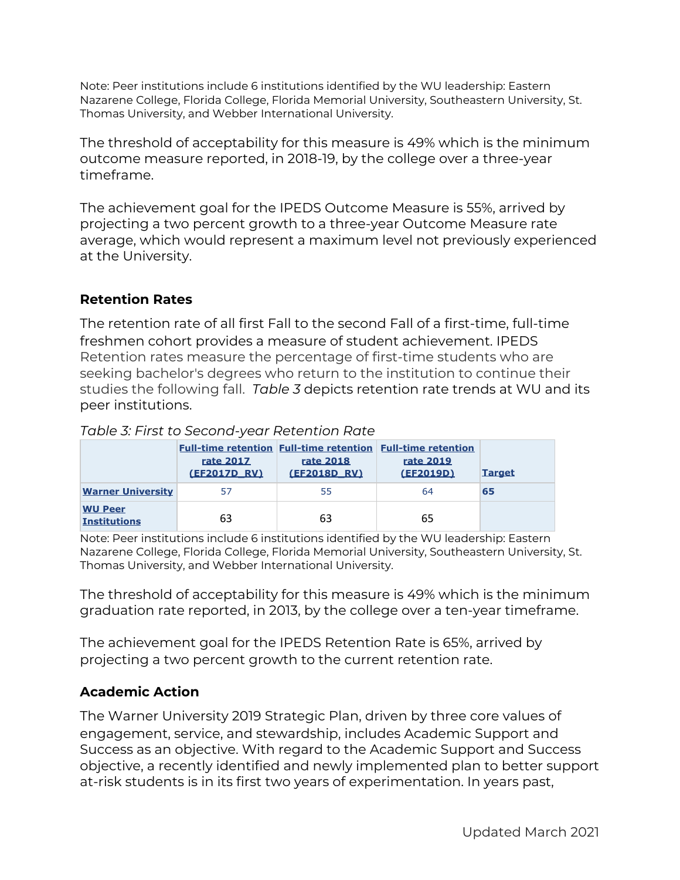Note: Peer institutions include 6 institutions identified by the WU leadership: Eastern Nazarene College, Florida College, Florida Memorial University, Southeastern University, St. Thomas University, and Webber International University.

The threshold of acceptability for this measure is 49% which is the minimum outcome measure reported, in 2018-19, by the college over a three-year timeframe.

The achievement goal for the IPEDS Outcome Measure is 55%, arrived by projecting a two percent growth to a three-year Outcome Measure rate average, which would represent a maximum level not previously experienced at the University.

## **Retention Rates**

The retention rate of all first Fall to the second Fall of a first-time, full-time freshmen cohort provides a measure of student achievement. IPEDS Retention rates measure the percentage of first-time students who are seeking bachelor's degrees who return to the institution to continue their studies the following fall. *Table 3* depicts retention rate trends at WU and its peer institutions.

|                                       | rate 2017<br>(EF2017D RV) | <b>Full-time retention Full-time retention Full-time retention</b><br>rate 2018<br>(EF2018D RV) | rate 2019<br>(EF2019D) | <b>Target</b> |
|---------------------------------------|---------------------------|-------------------------------------------------------------------------------------------------|------------------------|---------------|
| <b>Warner University</b>              |                           | 55                                                                                              | 64                     | 65            |
| <b>WU Peer</b><br><b>Institutions</b> | 63                        | 63                                                                                              | 65                     |               |

#### *Table 3: First to Second-year Retention Rate*

Note: Peer institutions include 6 institutions identified by the WU leadership: Eastern Nazarene College, Florida College, Florida Memorial University, Southeastern University, St. Thomas University, and Webber International University.

The threshold of acceptability for this measure is 49% which is the minimum graduation rate reported, in 2013, by the college over a ten-year timeframe.

The achievement goal for the IPEDS Retention Rate is 65%, arrived by projecting a two percent growth to the current retention rate.

## **Academic Action**

The Warner University 2019 Strategic Plan, driven by three core values of engagement, service, and stewardship, includes Academic Support and Success as an objective. With regard to the Academic Support and Success objective, a recently identified and newly implemented plan to better support at-risk students is in its first two years of experimentation. In years past,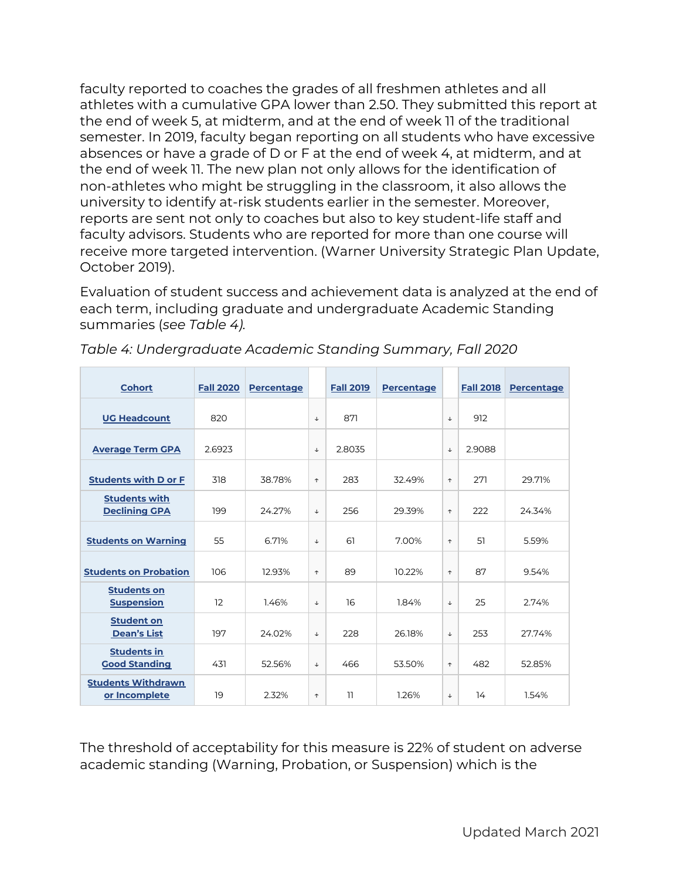faculty reported to coaches the grades of all freshmen athletes and all athletes with a cumulative GPA lower than 2.50. They submitted this report at the end of week 5, at midterm, and at the end of week 11 of the traditional semester. In 2019, faculty began reporting on all students who have excessive absences or have a grade of D or F at the end of week 4, at midterm, and at the end of week 11. The new plan not only allows for the identification of non-athletes who might be struggling in the classroom, it also allows the university to identify at-risk students earlier in the semester. Moreover, reports are sent not only to coaches but also to key student-life staff and faculty advisors. Students who are reported for more than one course will receive more targeted intervention. (Warner University Strategic Plan Update, October 2019).

Evaluation of student success and achievement data is analyzed at the end of each term, including graduate and undergraduate Academic Standing summaries (*see Table 4).* 

| <b>Cohort</b>                                | <b>Fall 2020</b> | <b>Percentage</b> |              | <b>Fall 2019</b> | <b>Percentage</b> |              | <b>Fall 2018</b> | <b>Percentage</b> |
|----------------------------------------------|------------------|-------------------|--------------|------------------|-------------------|--------------|------------------|-------------------|
| <b>UG Headcount</b>                          | 820              |                   | $\downarrow$ | 871              |                   | $\downarrow$ | 912              |                   |
| <b>Average Term GPA</b>                      | 2.6923           |                   | $\downarrow$ | 2.8035           |                   | $\downarrow$ | 2.9088           |                   |
| <b>Students with D or F</b>                  | 318              | 38.78%            | $\uparrow$   | 283              | 32.49%            | $\uparrow$   | 271              | 29.71%            |
| <b>Students with</b><br><b>Declining GPA</b> | 199              | 24.27%            | $\downarrow$ | 256              | 29.39%            | $\uparrow$   | 222              | 24.34%            |
| <b>Students on Warning</b>                   | 55               | 6.71%             | $\downarrow$ | 61               | 7.00%             | $\uparrow$   | 51               | 5.59%             |
| <b>Students on Probation</b>                 | 106              | 12.93%            | $\uparrow$   | 89               | 10.22%            | $\uparrow$   | 87               | 9.54%             |
| <b>Students on</b><br><b>Suspension</b>      | 12               | 1.46%             | $\downarrow$ | 16               | 1.84%             | $\downarrow$ | 25               | 2.74%             |
| <b>Student on</b><br><b>Dean's List</b>      | 197              | 24.02%            | $\downarrow$ | 228              | 26.18%            | $\downarrow$ | 253              | 27.74%            |
| <b>Students in</b><br><b>Good Standing</b>   | 431              | 52.56%            | $\downarrow$ | 466              | 53.50%            | $\uparrow$   | 482              | 52.85%            |
| <b>Students Withdrawn</b><br>or Incomplete   | 19               | 2.32%             | $\uparrow$   | 11               | 1.26%             | $\downarrow$ | 14               | 1.54%             |

*Table 4: Undergraduate Academic Standing Summary, Fall 2020* 

The threshold of acceptability for this measure is 22% of student on adverse academic standing (Warning, Probation, or Suspension) which is the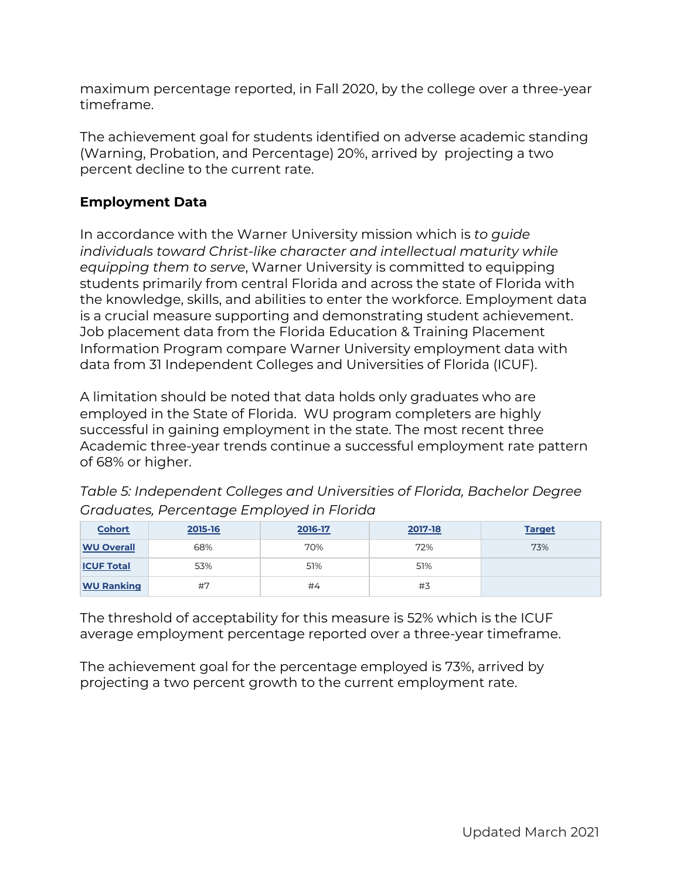maximum percentage reported, in Fall 2020, by the college over a three-year timeframe.

The achievement goal for students identified on adverse academic standing (Warning, Probation, and Percentage) 20%, arrived by projecting a two percent decline to the current rate.

## **Employment Data**

In accordance with the Warner University mission which is *to guide individuals toward Christ-like character and intellectual maturity while equipping them to serve*, Warner University is committed to equipping students primarily from central Florida and across the state of Florida with the knowledge, skills, and abilities to enter the workforce. Employment data is a crucial measure supporting and demonstrating student achievement. Job placement data from the Florida Education & Training Placement Information Program compare Warner University employment data with data from 31 Independent Colleges and Universities of Florida (ICUF).

A limitation should be noted that data holds only graduates who are employed in the State of Florida. WU program completers are highly successful in gaining employment in the state. The most recent three Academic three-year trends continue a successful employment rate pattern of 68% or higher.

| <b>Cohort</b>     | 2015-16 | 2016-17 | 2017-18 | <b>Target</b> |
|-------------------|---------|---------|---------|---------------|
| <b>WU Overall</b> | 68%     | 70%     | 72%     | 73%           |
| <b>ICUF Total</b> | 53%     | 51%     | 51%     |               |
| <b>WU Ranking</b> | #7      | #4      | #3      |               |

*Table 5: Independent Colleges and Universities of Florida, Bachelor Degree Graduates, Percentage Employed in Florida*

The threshold of acceptability for this measure is 52% which is the ICUF average employment percentage reported over a three-year timeframe.

The achievement goal for the percentage employed is 73%, arrived by projecting a two percent growth to the current employment rate.